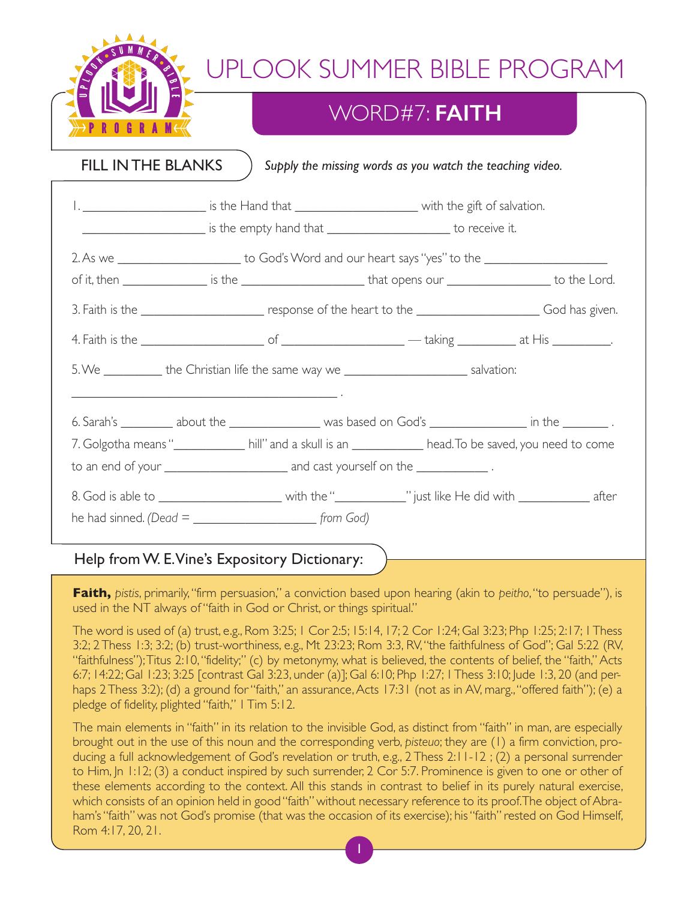

## WORD#7: **FAITH**

FILL INTHE BLANKS

*Supply the missing words as you watch the teaching video.*

|                                                                                                                                                                                          |                                                 | 1. _____________________________ is the Hand that ______________________________ with the gift of salvation.         |  |  |
|------------------------------------------------------------------------------------------------------------------------------------------------------------------------------------------|-------------------------------------------------|----------------------------------------------------------------------------------------------------------------------|--|--|
|                                                                                                                                                                                          |                                                 | 2. As we _________________________ to God's Word and our heart says "yes" to the ___________________                 |  |  |
|                                                                                                                                                                                          |                                                 | of it, then _________________ is the ___________________________that opens our _____________________to the Lord.     |  |  |
|                                                                                                                                                                                          |                                                 | 3. Faith is the _________________________ response of the heart to the _____________________________ God has given.  |  |  |
|                                                                                                                                                                                          |                                                 |                                                                                                                      |  |  |
| 5. We ____________ the Christian life the same way we __________________________ salvation:<br>the control of the control of the control of the control of the control of the control of |                                                 |                                                                                                                      |  |  |
|                                                                                                                                                                                          |                                                 | 6. Sarah's ___________ about the _____________________ was based on God's ______________________ in the ___________. |  |  |
| 7. Golgotha means " <u> Solgotha means [and a skull</u> is an  stand to come and to come and the saved, you need to come                                                                 |                                                 |                                                                                                                      |  |  |
|                                                                                                                                                                                          |                                                 |                                                                                                                      |  |  |
|                                                                                                                                                                                          |                                                 |                                                                                                                      |  |  |
|                                                                                                                                                                                          | he had sinned. (Dead = $\frac{1}{2}$ [from God) |                                                                                                                      |  |  |

### Help fromW. E.Vine's Expository Dictionary:

**Faith,** *pistis*, primarily,"firm persuasion," a conviction based upon hearing (akin to *peitho*,"to persuade"), is used in the NT always of"faith in God or Christ, or things spiritual."

The word is used of (a) trust, e.g., Rom 3:25; 1 Cor 2:5; 15:14, 17; 2 Cor 1:24; Gal 3:23; Php 1:25; 2:17; 1Thess 3:2; 2 Thess 1:3; 3:2; (b) trust-worthiness, e.g., Mt 23:23; Rom 3:3, RV,"the faithfulness of God"; Gal 5:22 (RV, "faithfulness");Titus 2:10, "fidelity;" (c) by metonymy, what is believed, the contents of belief, the "faith," Acts 6:7; 14:22; Gal 1:23; 3:25 [contrast Gal 3:23, under (a)]; Gal 6:10; Php 1:27; 1Thess 3:10; Jude 1:3, 20 (and perhaps 2 Thess 3:2); (d) a ground for "faith," an assurance, Acts 17:31 (not as in AV, marg., "offered faith"); (e) a pledge of fidelity, plighted "faith," 1Tim 5:12.

The main elements in "faith" in its relation to the invisible God, as distinct from "faith" in man, are especially brought out in the use of this noun and the corresponding verb, *pisteuo*; they are (1) a firm conviction, producing a full acknowledgement of God's revelation or truth, e.g., 2 Thess 2:11-12 ; (2) a personal surrender to Him, Jn 1:12; (3) a conduct inspired by such surrender, 2 Cor 5:7. Prominence is given to one or other of these elements according to the context. All this stands in contrast to belief in its purely natural exercise, which consists of an opinion held in good "faith" without necessary reference to its proof.The object of Abraham's "faith" was not God's promise (that was the occasion of its exercise); his "faith" rested on God Himself, Rom 4:17, 20, 21.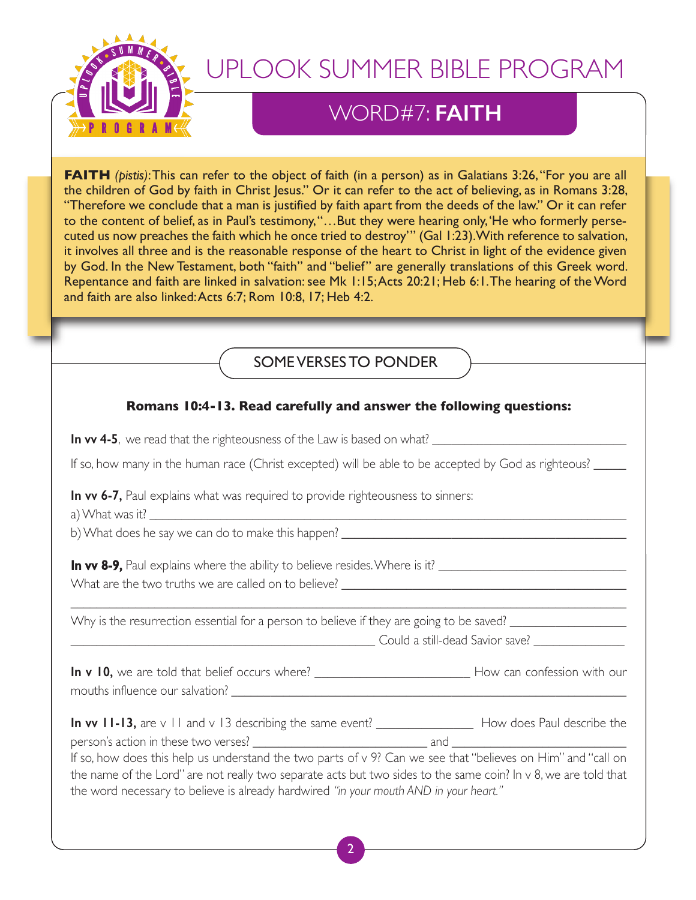

### WORD#7: **FAITH**

**FAITH** *(pistis)*: This can refer to the object of faith (in a person) as in Galatians 3:26, "For you are all the children of God by faith in Christ Jesus." Or it can refer to the act of believing, as in Romans 3:28, "Therefore we conclude that a man is justified by faith apart from the deeds of the law." Or it can refer to the content of belief, as in Paul's testimony,"…But they were hearing only,'He who formerly persecuted us now preaches the faith which he once tried to destroy'" (Gal 1:23).With reference to salvation, it involves all three and is the reasonable response of the heart to Christ in light of the evidence given by God. In the New Testament, both "faith" and "belief" are generally translations of this Greek word. Repentance and faith are linked in salvation: see Mk 1:15;Acts 20:21; Heb 6:1. The hearing of the Word and faith are also linked:Acts 6:7; Rom 10:8, 17; Heb 4:2.

### SOMEVERSES TO PONDER

### **Romans 10:4-13. Read carefully and answer the following questions:**

**In vv 4-5**, we read that the righteousness of the Law is based on what? \_\_\_\_\_\_\_\_\_\_\_\_\_\_\_\_\_\_\_\_\_\_\_\_\_\_\_\_\_\_

If so, how many in the human race (Christ excepted) will be able to be accepted by God as righteous?

**In vv 6-7,** Paul explains what was required to provide righteousness to sinners:

a) What was it?

b) What does he say we can do to make this happen?

**In vv 8-9,** Paul explains where the ability to believe resides. Where is it? \_\_\_\_\_\_\_\_\_\_\_\_\_\_\_\_\_\_\_\_\_\_\_\_\_\_\_\_\_\_\_\_\_\_ What are the two truths we are called on to believe?

Why is the resurrection essential for a person to believe if they are going to be saved? \_\_\_\_\_\_\_\_\_\_\_\_\_\_\_\_\_\_\_\_\_\_\_\_\_\_\_\_\_\_\_\_\_\_\_\_\_\_\_\_\_\_\_\_\_\_\_ Could a still-dead Savior save? \_\_\_\_\_\_\_\_\_\_\_\_\_\_

**In v 10,** we are told that belief occurs where? \_\_\_\_\_\_\_\_\_\_\_\_\_\_\_\_\_\_\_\_\_\_\_\_ How can confession with our mouths influence our salvation?

 $\_$  ,  $\_$  ,  $\_$  ,  $\_$  ,  $\_$  ,  $\_$  ,  $\_$  ,  $\_$  ,  $\_$  ,  $\_$  ,  $\_$  ,  $\_$  ,  $\_$  ,  $\_$  ,  $\_$  ,  $\_$  ,  $\_$  ,  $\_$  ,  $\_$  ,  $\_$  ,  $\_$  ,  $\_$  ,  $\_$  ,  $\_$  ,  $\_$  ,  $\_$  ,  $\_$  ,  $\_$  ,  $\_$  ,  $\_$  ,  $\_$  ,  $\_$  ,  $\_$  ,  $\_$  ,  $\_$  ,  $\_$  ,  $\_$  ,

| In vv $II-I3$ , are $v \perp I$ and $v \perp 3$ describing the same event? |     | How does Paul describe the |
|----------------------------------------------------------------------------|-----|----------------------------|
| person's action in these two verses?                                       | and |                            |

If so, how does this help us understand the two parts of v 9? Can we see that"believes on Him" and "call on the name of the Lord" are not really two separate acts but two sides to the same coin? In v 8, we are told that the word necessary to believe is already hardwired *"in your mouth AND in your heart."*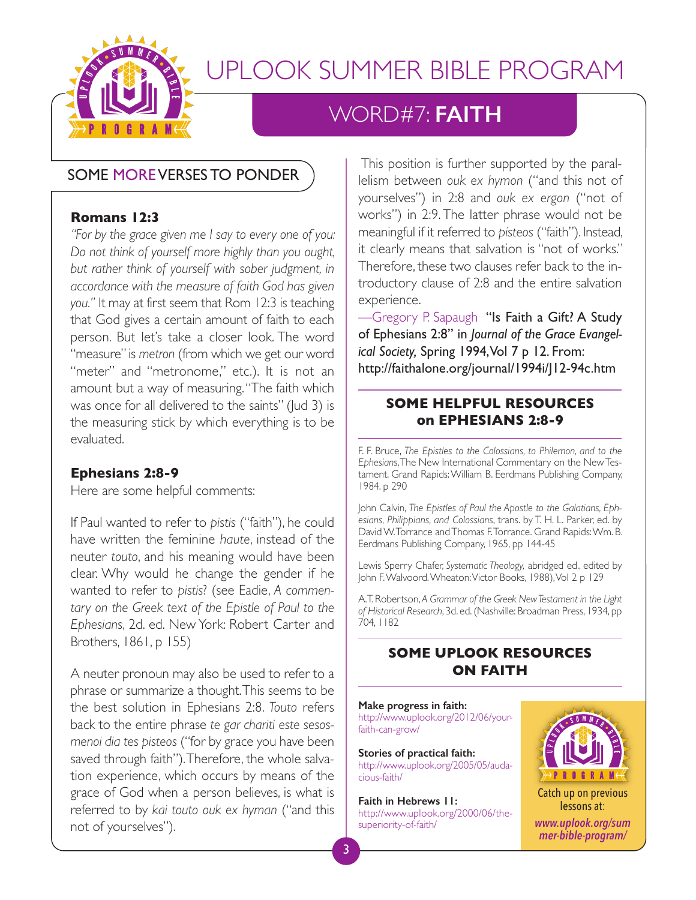

### WORD#7: **FAITH**

### SOME MOREVERSES TO PONDER

#### **Romans 12:3**

*"For by the grace given me I say to every one of you: Do not think of yourself more highly than you ought, but rather think of yourself with sober judgment, in accordance with the measure of faith God has given you."* It may at first seem that Rom 12:3 is teaching that God gives a certain amount of faith to each person. But let's take a closer look. The word "measure"is *metron* (from which we get our word "meter" and "metronome," etc.). It is not an amount but a way of measuring."The faith which was once for all delivered to the saints" (Jud 3) is the measuring stick by which everything is to be evaluated.

#### **Ephesians 2:8-9**

Here are some helpful comments:

If Paul wanted to refer to *pistis* ("faith"), he could have written the feminine *haute*, instead of the neuter *touto*, and his meaning would have been clear. Why would he change the gender if he wanted to refer to *pistis*? (see Eadie, *A commentary on the Greek text of the Epistle of Paul to the Ephesians*, 2d. ed. New York: Robert Carter and Brothers, 1861, p 155)

A neuter pronoun may also be used to refer to a phrase or summarize a thought.This seems to be the best solution in Ephesians 2:8. *Touto* refers back to the entire phrase *te gar chariti este sesosmenoi dia tes pisteos* ("for by grace you have been saved through faith").Therefore, the whole salvation experience, which occurs by means of the grace of God when a person believes, is what is referred to by *kai touto ouk ex hyman* ("and this not of yourselves").

This position is further supported by the parallelism between *ouk ex hymon* ("and this not of yourselves") in 2:8 and *ouk ex ergon* ("not of works") in 2:9. The latter phrase would not be meaningful if it referred to *pisteos* ("faith"). Instead, it clearly means that salvation is "not of works." Therefore, these two clauses refer back to the introductory clause of 2:8 and the entire salvation experience.

-Gregory P. Sapaugh "Is Faith a Gift? A Study of Ephesians 2:8" in *Journal of the Grace Evangelical Society,* Spring 1994,Vol 7 p 12. From: http://faithalone.org/journal/1994i/J12-94c.htm

### **SOME HELPFUL RESOURCES on EPHESIANS 2:8-9**

F. F. Bruce, *The Epistles to the Colossians, to Philemon, and to the Ephesians*,The New International Commentary on the NewTestament. Grand Rapids:William B. Eerdmans Publishing Company, 1984. p 290

John Calvin, *The Epistles of Paul the Apostle to the Galatians, Ephesians, Philippians, and Colossians*, trans. by T. H. L. Parker, ed. by DavidW.Torrance andThomas F.Torrance. Grand Rapids:Wm. B. Eerdmans Publishing Company, 1965, pp 144-45

Lewis Sperry Chafer, *Systematic Theology,* abridged ed., edited by John F. Walvoord. Wheaton: Victor Books, 1988), Vol 2 p 129

A.T. Robertson, *A Grammar of the Greek NewTestament in the Light of Historical Research*, 3d. ed.(Nashville: Broadman Press, 1934, pp 704, 1182

### **SOME UPLOOK RESOURCES ON FAITH**

**Make progress in faith:** http://www.uplook.org/2012/06/yourfaith-can-grow/

**Stories of practical faith:** http://www.uplook.org/2005/05/audacious-faith/

**Faith in Hebrews 11:** http://www.uplook.org/2000/06/thesuperiority-of-faith/



Catch up on previous lessons at: *www.uplook.org/sum mer-bible-program/*